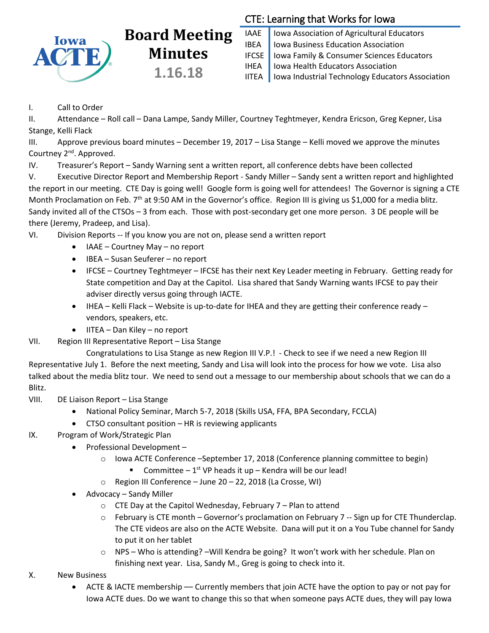

# **Board Meeting Minutes 1.16.18**

## CTE: Learning that Works for Iowa

IAAE | Iowa Association of Agricultural Educators IBEA | Iowa Business Education Association IFCSE Iowa Family & Consumer Sciences Educators IHEA | Iowa Health Educators Association IITEA | Iowa Industrial Technology Educators Association

### I. Call to Order

II. Attendance – Roll call – Dana Lampe, Sandy Miller, Courtney Teghtmeyer, Kendra Ericson, Greg Kepner, Lisa Stange, Kelli Flack

III. Approve previous board minutes – December 19, 2017 – Lisa Stange – Kelli moved we approve the minutes Courtney 2nd. Approved.

IV. Treasurer's Report – Sandy Warning sent a written report, all conference debts have been collected

V. Executive Director Report and Membership Report - Sandy Miller – Sandy sent a written report and highlighted the report in our meeting. CTE Day is going well! Google form is going well for attendees! The Governor is signing a CTE Month Proclamation on Feb.  $7<sup>th</sup>$  at 9:50 AM in the Governor's office. Region III is giving us \$1,000 for a media blitz. Sandy invited all of the CTSOs – 3 from each. Those with post-secondary get one more person. 3 DE people will be there (Jeremy, Pradeep, and Lisa).

VI. Division Reports -- If you know you are not on, please send a written report

- $\bullet$  IAAE Courtney May no report
- IBEA Susan Seuferer no report
- IFCSE Courtney Teghtmeyer IFCSE has their next Key Leader meeting in February. Getting ready for State competition and Day at the Capitol. Lisa shared that Sandy Warning wants IFCSE to pay their adviser directly versus going through IACTE.
- IHEA Kelli Flack Website is up-to-date for IHEA and they are getting their conference ready vendors, speakers, etc.
- IITEA Dan Kiley no report

VII. Region III Representative Report – Lisa Stange

Congratulations to Lisa Stange as new Region III V.P.! - Check to see if we need a new Region III Representative July 1. Before the next meeting, Sandy and Lisa will look into the process for how we vote. Lisa also talked about the media blitz tour. We need to send out a message to our membership about schools that we can do a Blitz.

#### VIII. DE Liaison Report – Lisa Stange

- National Policy Seminar, March 5-7, 2018 (Skills USA, FFA, BPA Secondary, FCCLA)
- CTSO consultant position HR is reviewing applicants
- IX. Program of Work/Strategic Plan
	- Professional Development -
		- $\circ$  Iowa ACTE Conference –September 17, 2018 (Conference planning committee to begin)
			- **Committee**  $1^{st}$  VP heads it up Kendra will be our lead!
		- o Region III Conference June 20 22, 2018 (La Crosse, WI)
	- Advocacy Sandy Miller
		- $\circ$  CTE Day at the Capitol Wednesday, February 7 Plan to attend
		- $\circ$  February is CTE month Governor's proclamation on February 7 -- Sign up for CTE Thunderclap. The CTE videos are also on the ACTE Website. Dana will put it on a You Tube channel for Sandy to put it on her tablet
		- o NPS Who is attending? –Will Kendra be going? It won't work with her schedule. Plan on finishing next year. Lisa, Sandy M., Greg is going to check into it.
- X. New Business
	- ACTE & IACTE membership –– Currently members that join ACTE have the option to pay or not pay for Iowa ACTE dues. Do we want to change this so that when someone pays ACTE dues, they will pay Iowa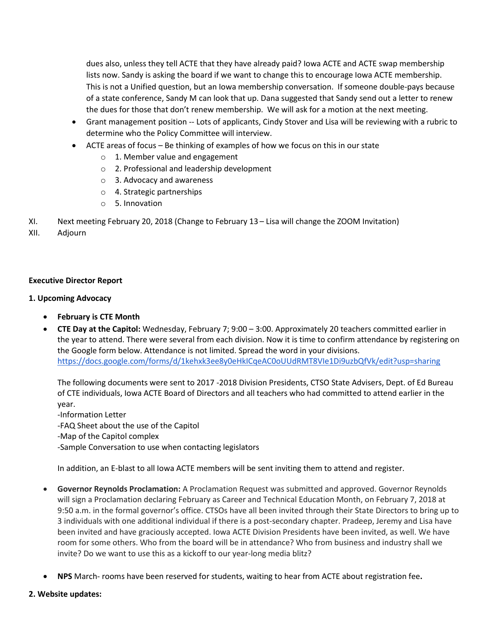dues also, unless they tell ACTE that they have already paid? Iowa ACTE and ACTE swap membership lists now. Sandy is asking the board if we want to change this to encourage Iowa ACTE membership. This is not a Unified question, but an Iowa membership conversation. If someone double-pays because of a state conference, Sandy M can look that up. Dana suggested that Sandy send out a letter to renew the dues for those that don't renew membership. We will ask for a motion at the next meeting.

- Grant management position -- Lots of applicants, Cindy Stover and Lisa will be reviewing with a rubric to determine who the Policy Committee will interview.
- ACTE areas of focus Be thinking of examples of how we focus on this in our state
	- o 1. Member value and engagement
	- o 2. Professional and leadership development
	- o 3. Advocacy and awareness
	- o 4. Strategic partnerships
	- o 5. Innovation
- XI. Next meeting February 20, 2018 (Change to February 13 Lisa will change the ZOOM Invitation)
- XII. Adjourn

#### **Executive Director Report**

#### **1. Upcoming Advocacy**

- **February is CTE Month**
- **CTE Day at the Capitol:** Wednesday, February 7; 9:00 3:00. Approximately 20 teachers committed earlier in the year to attend. There were several from each division. Now it is time to confirm attendance by registering on the Google form below. Attendance is not limited. Spread the word in your divisions. <https://docs.google.com/forms/d/1kehxk3ee8y0eHkICqeAC0oUUdRMT8VIe1Di9uzbQfVk/edit?usp=sharing>

The following documents were sent to 2017 -2018 Division Presidents, CTSO State Advisers, Dept. of Ed Bureau of CTE individuals, Iowa ACTE Board of Directors and all teachers who had committed to attend earlier in the year.

-Information Letter -FAQ Sheet about the use of the Capitol -Map of the Capitol complex

-Sample Conversation to use when contacting legislators

In addition, an E-blast to all Iowa ACTE members will be sent inviting them to attend and register.

- **Governor Reynolds Proclamation:** A Proclamation Request was submitted and approved. Governor Reynolds will sign a Proclamation declaring February as Career and Technical Education Month, on February 7, 2018 at 9:50 a.m. in the formal governor's office. CTSOs have all been invited through their State Directors to bring up to 3 individuals with one additional individual if there is a post-secondary chapter. Pradeep, Jeremy and Lisa have been invited and have graciously accepted. Iowa ACTE Division Presidents have been invited, as well. We have room for some others. Who from the board will be in attendance? Who from business and industry shall we invite? Do we want to use this as a kickoff to our year-long media blitz?
- **NPS** March- rooms have been reserved for students, waiting to hear from ACTE about registration fee**.**
- **2. Website updates:**